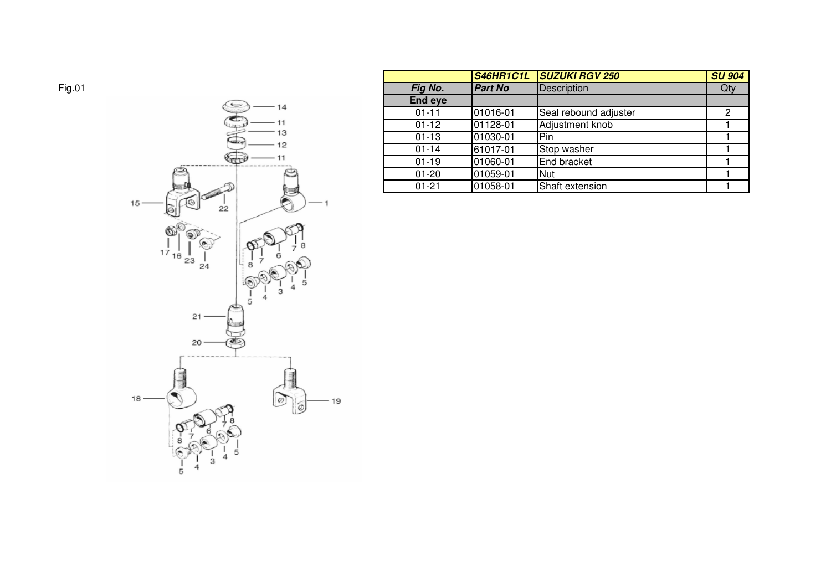

|                | <b>S46HR1C1L</b> | <b>SUZUKI RGV 250</b> | <b>SU 904</b> |
|----------------|------------------|-----------------------|---------------|
| Fig No.        | <b>Part No</b>   | <b>Description</b>    | Qty           |
| <b>End eye</b> |                  |                       |               |
| $01 - 11$      | 01016-01         | Seal rebound adjuster | 2             |
| $01 - 12$      | 01128-01         | Adjustment knob       |               |
| $01 - 13$      | 01030-01         | Pin                   |               |
| $01 - 14$      | 61017-01         | Stop washer           |               |
| $01 - 19$      | 01060-01         | End bracket           |               |
| $01 - 20$      | 01059-01         | Nut                   |               |
| $01 - 21$      | 01058-01         | Shaft extension       |               |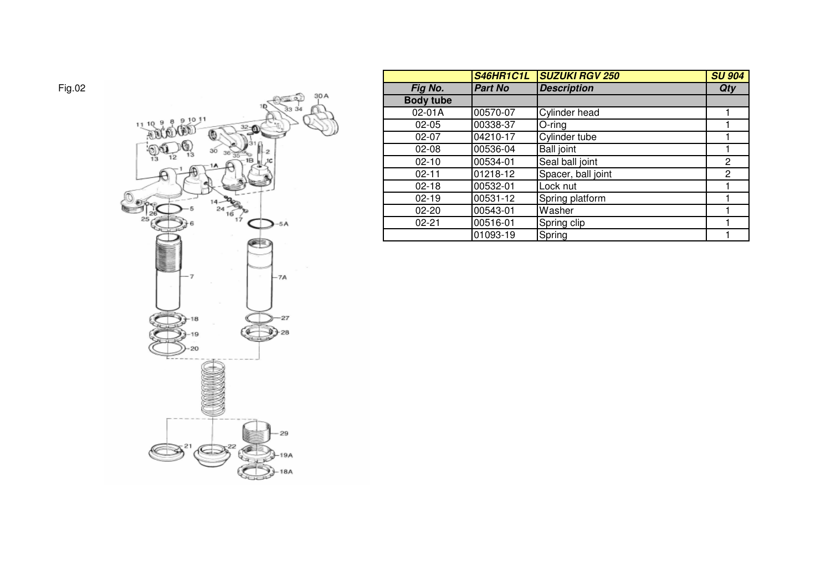

|                  | <b>S46HR1C1L</b> | <b>SUZUKI RGV 250</b> | <b>SU 904</b> |
|------------------|------------------|-----------------------|---------------|
| Fig No.          | <b>Part No</b>   | <b>Description</b>    | <b>Qty</b>    |
| <b>Body tube</b> |                  |                       |               |
| 02-01A           | 00570-07         | Cylinder head         |               |
| $02 - 05$        | 00338-37         | O-ring                |               |
| $02 - 07$        | 04210-17         | Cylinder tube         |               |
| $02 - 08$        | 00536-04         | <b>Ball joint</b>     |               |
| $02 - 10$        | 00534-01         | Seal ball joint       | 2             |
| $02 - 11$        | 01218-12         | Spacer, ball joint    | 2             |
| $02 - 18$        | 00532-01         | Lock nut              |               |
| $02 - 19$        | 00531-12         | Spring platform       |               |
| $02 - 20$        | 00543-01         | Washer                |               |
| $02 - 21$        | 00516-01         | Spring clip           |               |
|                  | 01093-19         | Spring                |               |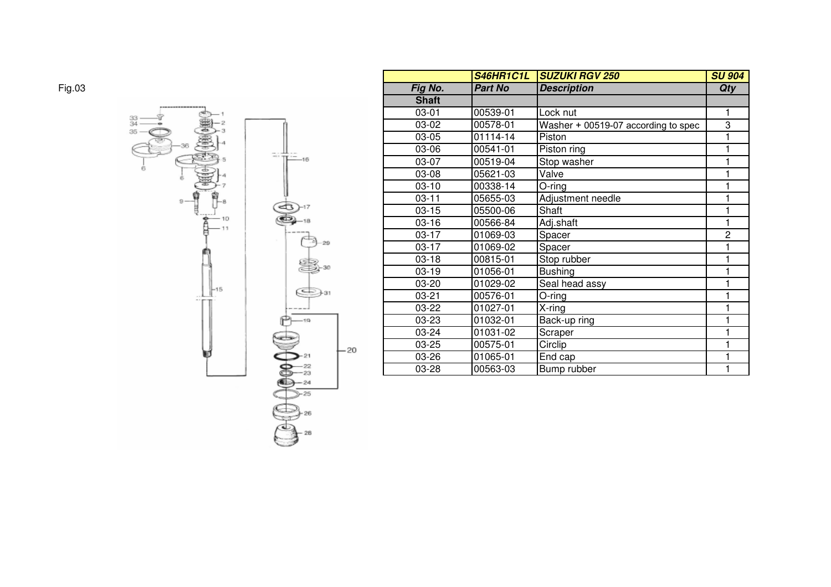

|              | S46HR1C1L      | <b>SUZUKI RGV 250</b>               | <b>SU 904</b> |
|--------------|----------------|-------------------------------------|---------------|
| Fig No.      | <b>Part No</b> | <b>Description</b>                  | <b>Qty</b>    |
| <b>Shaft</b> |                |                                     |               |
| $03 - 01$    | 00539-01       | Lock nut                            |               |
| 03-02        | 00578-01       | Washer + 00519-07 according to spec | 3             |
| 03-05        | 01114-14       | Piston                              | 1             |
| 03-06        | 00541-01       | Piston ring                         | 1             |
| 03-07        | 00519-04       | Stop washer                         | 1             |
| 03-08        | 05621-03       | Valve                               | 1             |
| $03-10$      | 00338-14       | O-ring                              | 1             |
| $03 - 11$    | 05655-03       | Adjustment needle                   | 1             |
| $03 - 15$    | 05500-06       | Shaft                               | 1             |
| $03-16$      | 00566-84       | Adj.shaft                           | 1             |
| $03-17$      | 01069-03       | Spacer                              | 2             |
| $03-17$      | 01069-02       | Spacer                              |               |
| $03-18$      | 00815-01       | Stop rubber                         |               |
| $03-19$      | 01056-01       | <b>Bushing</b>                      |               |
| 03-20        | 01029-02       | Seal head assy                      |               |
| 03-21        | 00576-01       | O-ring                              | 1             |
| 03-22        | 01027-01       | X-ring                              | 1             |
| 03-23        | 01032-01       | Back-up ring                        | 1             |
| 03-24        | 01031-02       | Scraper                             |               |
| 03-25        | 00575-01       | Circlip                             |               |
| 03-26        | 01065-01       | End cap                             |               |
| 03-28        | 00563-03       | Bump rubber                         | 1             |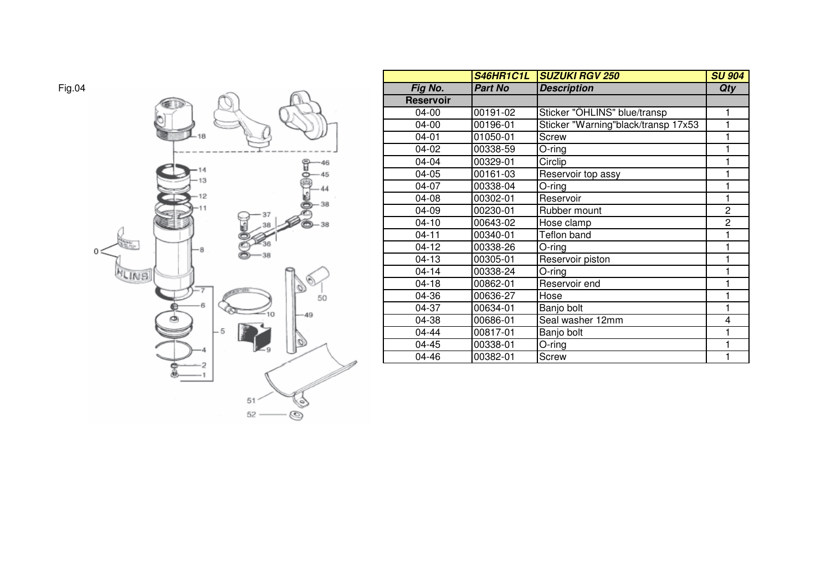

|                  | <b>S46HR1C1L</b> | <b>SUZUKI RGV 250</b>               | <b>SU 904</b> |
|------------------|------------------|-------------------------------------|---------------|
| Fig No.          | <b>Part No</b>   | <b>Description</b>                  | Qty           |
| <b>Reservoir</b> |                  |                                     |               |
| 04-00            | 00191-02         | Sticker "OHLINS" blue/transp        | 1             |
| 04-00            | 00196-01         | Sticker "Warning"black/transp 17x53 |               |
| $04 - 01$        | 01050-01         | Screw                               | 1             |
| 04-02            | 00338-59         | O-ring                              |               |
| 04-04            | 00329-01         | Circlip                             | 1             |
| 04-05            | 00161-03         | Reservoir top assy                  | 1             |
| 04-07            | 00338-04         | $O$ -ring                           |               |
| 04-08            | 00302-01         | Reservoir                           | 1             |
| 04-09            | 00230-01         | Rubber mount                        | 2             |
| $04-10$          | 00643-02         | Hose clamp                          | 2             |
| $04 - 11$        | 00340-01         | Teflon band                         | 1             |
| $04-12$          | 00338-26         | O-ring                              |               |
| $04-13$          | 00305-01         | Reservoir piston                    | 1             |
| $04 - 14$        | 00338-24         | $O$ -ring                           | 1             |
| $04 - 18$        | 00862-01         | Reservoir end                       | 1             |
| 04-36            | 00636-27         | Hose                                | 1             |
| 04-37            | 00634-01         | Banjo bolt                          | 1             |
| 04-38            | 00686-01         | Seal washer 12mm                    | 4             |
| $04 - 44$        | 00817-01         | Banjo bolt                          |               |
| 04-45            | 00338-01         | O-ring                              |               |
| 04-46            | 00382-01         | <b>Screw</b>                        |               |